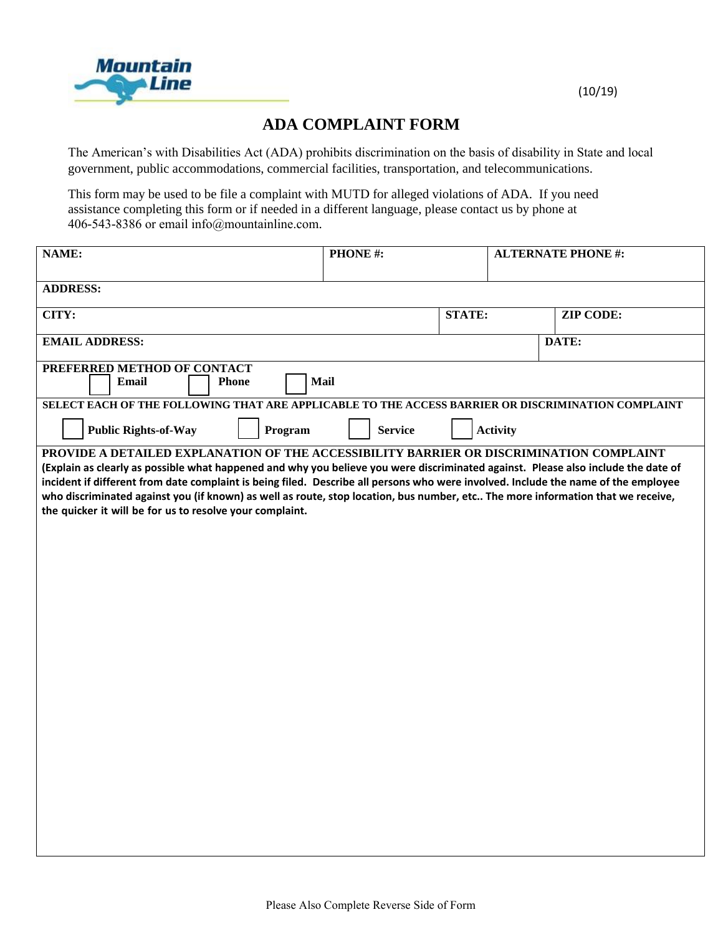

## (10/19)

## **ADA COMPLAINT FORM**

The American's with Disabilities Act (ADA) prohibits discrimination on the basis of disability in State and local government, public accommodations, commercial facilities, transportation, and telecommunications.

This form may be used to be file a complaint with MUTD for alleged violations of ADA. If you need assistance completing this form or if needed in a different language, please contact us by phone at 406-543-8386 or email info@mountainline.com.

|                                                                                                                                                                                                                                                                                                                                                                                                                                                                                                                                                                   |                | PHONE#:       |                 | <b>ALTERNATE PHONE #:</b> |  |  |
|-------------------------------------------------------------------------------------------------------------------------------------------------------------------------------------------------------------------------------------------------------------------------------------------------------------------------------------------------------------------------------------------------------------------------------------------------------------------------------------------------------------------------------------------------------------------|----------------|---------------|-----------------|---------------------------|--|--|
|                                                                                                                                                                                                                                                                                                                                                                                                                                                                                                                                                                   |                |               |                 |                           |  |  |
| <b>ADDRESS:</b>                                                                                                                                                                                                                                                                                                                                                                                                                                                                                                                                                   |                |               |                 |                           |  |  |
| CITY:                                                                                                                                                                                                                                                                                                                                                                                                                                                                                                                                                             |                | <b>STATE:</b> |                 | <b>ZIP CODE:</b>          |  |  |
| <b>EMAIL ADDRESS:</b>                                                                                                                                                                                                                                                                                                                                                                                                                                                                                                                                             |                |               |                 | DATE:                     |  |  |
| PREFERRED METHOD OF CONTACT<br><b>Mail</b><br>Email<br><b>Phone</b>                                                                                                                                                                                                                                                                                                                                                                                                                                                                                               |                |               |                 |                           |  |  |
| SELECT EACH OF THE FOLLOWING THAT ARE APPLICABLE TO THE ACCESS BARRIER OR DISCRIMINATION COMPLAINT                                                                                                                                                                                                                                                                                                                                                                                                                                                                |                |               |                 |                           |  |  |
| <b>Public Rights-of-Way</b><br>Program                                                                                                                                                                                                                                                                                                                                                                                                                                                                                                                            | <b>Service</b> |               | <b>Activity</b> |                           |  |  |
| PROVIDE A DETAILED EXPLANATION OF THE ACCESSIBILITY BARRIER OR DISCRIMINATION COMPLAINT<br>(Explain as clearly as possible what happened and why you believe you were discriminated against. Please also include the date of<br>incident if different from date complaint is being filed. Describe all persons who were involved. Include the name of the employee<br>who discriminated against you (if known) as well as route, stop location, bus number, etc The more information that we receive,<br>the quicker it will be for us to resolve your complaint. |                |               |                 |                           |  |  |